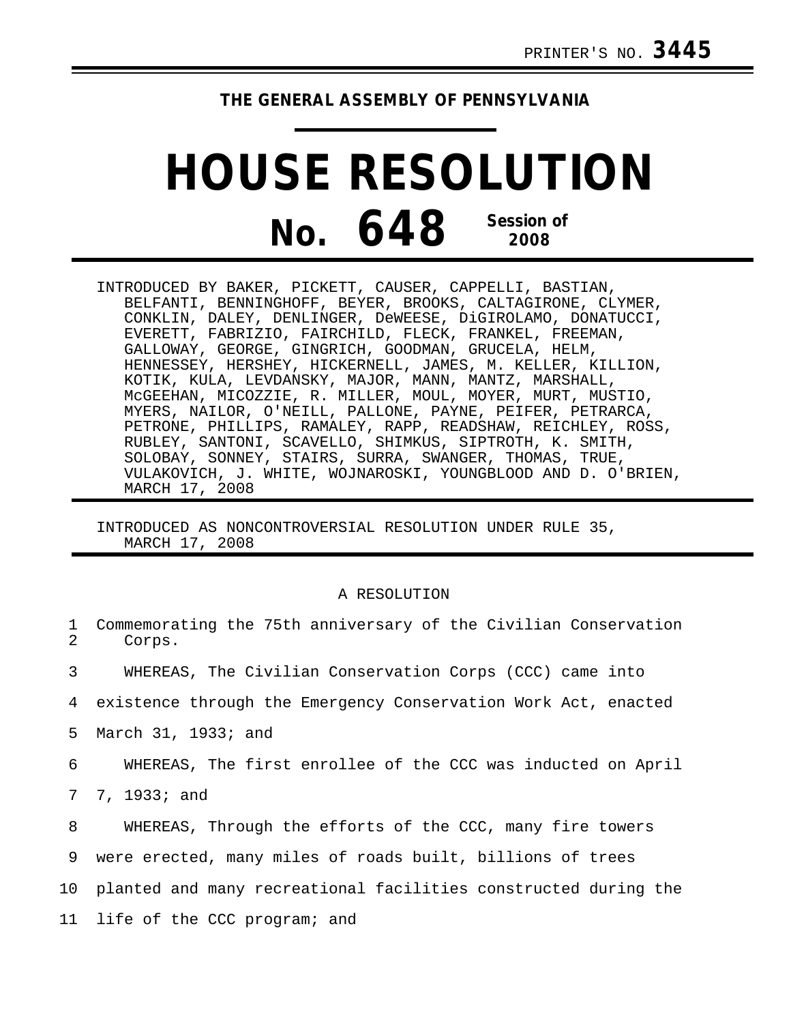## **THE GENERAL ASSEMBLY OF PENNSYLVANIA**

## **HOUSE RESOLUTION No. 648 Session of 2008**

INTRODUCED BY BAKER, PICKETT, CAUSER, CAPPELLI, BASTIAN, BELFANTI, BENNINGHOFF, BEYER, BROOKS, CALTAGIRONE, CLYMER, CONKLIN, DALEY, DENLINGER, DeWEESE, DiGIROLAMO, DONATUCCI, EVERETT, FABRIZIO, FAIRCHILD, FLECK, FRANKEL, FREEMAN, GALLOWAY, GEORGE, GINGRICH, GOODMAN, GRUCELA, HELM, HENNESSEY, HERSHEY, HICKERNELL, JAMES, M. KELLER, KILLION, KOTIK, KULA, LEVDANSKY, MAJOR, MANN, MANTZ, MARSHALL, McGEEHAN, MICOZZIE, R. MILLER, MOUL, MOYER, MURT, MUSTIO, MYERS, NAILOR, O'NEILL, PALLONE, PAYNE, PEIFER, PETRARCA, PETRONE, PHILLIPS, RAMALEY, RAPP, READSHAW, REICHLEY, ROSS, RUBLEY, SANTONI, SCAVELLO, SHIMKUS, SIPTROTH, K. SMITH, SOLOBAY, SONNEY, STAIRS, SURRA, SWANGER, THOMAS, TRUE, VULAKOVICH, J. WHITE, WOJNAROSKI, YOUNGBLOOD AND D. O'BRIEN, MARCH 17, 2008

## INTRODUCED AS NONCONTROVERSIAL RESOLUTION UNDER RULE 35, MARCH 17, 2008

## A RESOLUTION

| $\mathbf{1}$<br>2 | Commemorating the 75th anniversary of the Civilian Conservation<br>Corps. |
|-------------------|---------------------------------------------------------------------------|
| 3                 | WHEREAS, The Civilian Conservation Corps (CCC) came into                  |
| 4                 | existence through the Emergency Conservation Work Act, enacted            |
| 5                 | March 31, 1933; and                                                       |
| 6                 | WHEREAS, The first enrollee of the CCC was inducted on April              |
| $7\degree$        | 7, 1933; and                                                              |
| 8                 | WHEREAS, Through the efforts of the CCC, many fire towers                 |
| 9                 | were erected, many miles of roads built, billions of trees                |
| 10                | planted and many recreational facilities constructed during the           |
|                   | 11 life of the CCC program; and                                           |